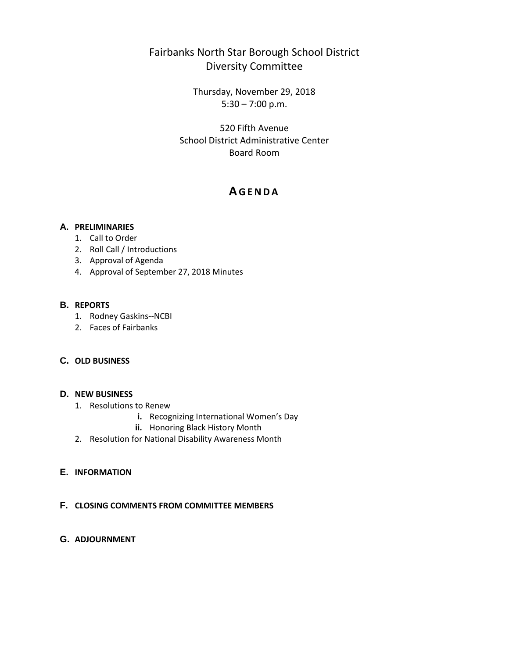# Fairbanks North Star Borough School District Diversity Committee

Thursday, November 29, 2018  $5:30 - 7:00$  p.m.

520 Fifth Avenue School District Administrative Center Board Room

# **A GENDA**

## **A. PRELIMINARIES**

- 1. Call to Order
- 2. Roll Call / Introductions
- 3. Approval of Agenda
- 4. Approval of September 27, 2018 Minutes

## **B. REPORTS**

- 1. Rodney Gaskins--NCBI
- 2. Faces of Fairbanks

## **C. OLD BUSINESS**

## **D. NEW BUSINESS**

- 1. Resolutions to Renew
	- **i.** Recognizing International Women's Day
	- **ii.** Honoring Black History Month
- 2. Resolution for National Disability Awareness Month

## **E. INFORMATION**

## **F. CLOSING COMMENTS FROM COMMITTEE MEMBERS**

**G. ADJOURNMENT**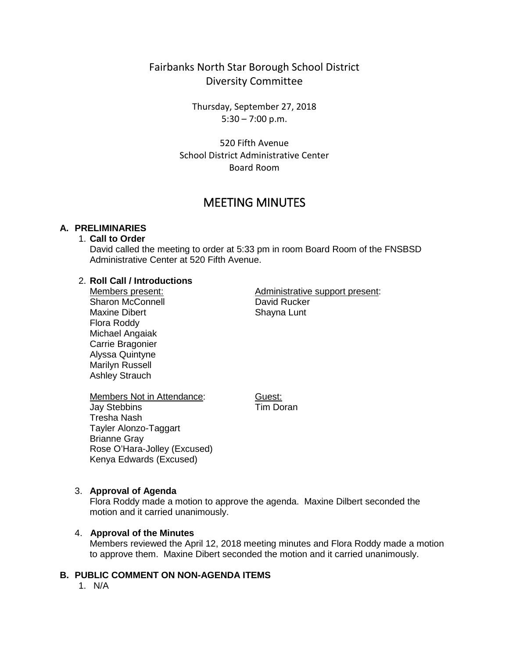## Fairbanks North Star Borough School District Diversity Committee

Thursday, September 27, 2018  $5:30 - 7:00$  p.m.

520 Fifth Avenue School District Administrative Center Board Room

# MEETING MINUTES

## **A. PRELIMINARIES**

## 1. **Call to Order**

David called the meeting to order at 5:33 pm in room Board Room of the FNSBSD Administrative Center at 520 Fifth Avenue.

#### 2. **Roll Call / Introductions**

Members present: Sharon McConnell Maxine Dibert Flora Roddy Michael Angaiak Carrie Bragonier Alyssa Quintyne Marilyn Russell Ashley Strauch

Administrative support present: David Rucker Shayna Lunt

Members Not in Attendance: Jay Stebbins Tresha Nash Tayler Alonzo-Taggart Brianne Gray Rose O'Hara-Jolley (Excused) Kenya Edwards (Excused)

Guest: Tim Doran

## 3. **Approval of Agenda**

Flora Roddy made a motion to approve the agenda. Maxine Dilbert seconded the motion and it carried unanimously.

#### 4. **Approval of the Minutes**

Members reviewed the April 12, 2018 meeting minutes and Flora Roddy made a motion to approve them. Maxine Dibert seconded the motion and it carried unanimously.

## **B. PUBLIC COMMENT ON NON-AGENDA ITEMS**

1. N/A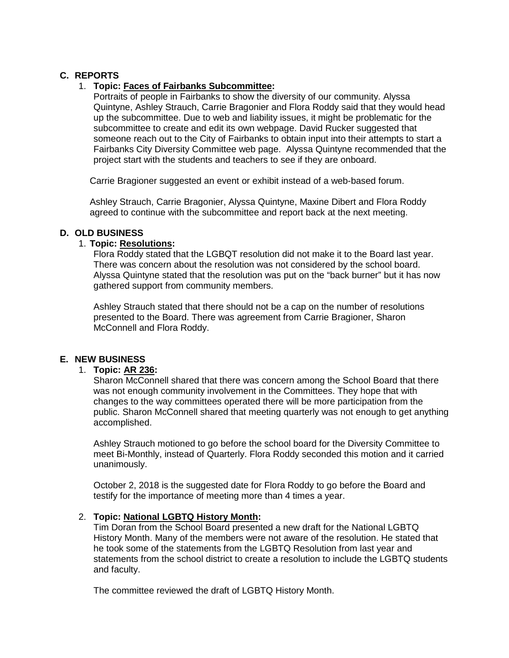## **C. REPORTS**

## 1. **Topic: Faces of Fairbanks Subcommittee:**

Portraits of people in Fairbanks to show the diversity of our community. Alyssa Quintyne, Ashley Strauch, Carrie Bragonier and Flora Roddy said that they would head up the subcommittee. Due to web and liability issues, it might be problematic for the subcommittee to create and edit its own webpage. David Rucker suggested that someone reach out to the City of Fairbanks to obtain input into their attempts to start a Fairbanks City Diversity Committee web page. Alyssa Quintyne recommended that the project start with the students and teachers to see if they are onboard.

Carrie Bragioner suggested an event or exhibit instead of a web-based forum.

Ashley Strauch, Carrie Bragonier, Alyssa Quintyne, Maxine Dibert and Flora Roddy agreed to continue with the subcommittee and report back at the next meeting.

## **D. OLD BUSINESS**

## 1. **Topic: Resolutions:**

Flora Roddy stated that the LGBQT resolution did not make it to the Board last year. There was concern about the resolution was not considered by the school board. Alyssa Quintyne stated that the resolution was put on the "back burner" but it has now gathered support from community members.

Ashley Strauch stated that there should not be a cap on the number of resolutions presented to the Board. There was agreement from Carrie Bragioner, Sharon McConnell and Flora Roddy.

## **E. NEW BUSINESS**

## 1. **Topic: AR 236:**

Sharon McConnell shared that there was concern among the School Board that there was not enough community involvement in the Committees. They hope that with changes to the way committees operated there will be more participation from the public. Sharon McConnell shared that meeting quarterly was not enough to get anything accomplished.

Ashley Strauch motioned to go before the school board for the Diversity Committee to meet Bi-Monthly, instead of Quarterly. Flora Roddy seconded this motion and it carried unanimously.

October 2, 2018 is the suggested date for Flora Roddy to go before the Board and testify for the importance of meeting more than 4 times a year.

## 2. **Topic: National LGBTQ History Month:**

Tim Doran from the School Board presented a new draft for the National LGBTQ History Month. Many of the members were not aware of the resolution. He stated that he took some of the statements from the LGBTQ Resolution from last year and statements from the school district to create a resolution to include the LGBTQ students and faculty.

The committee reviewed the draft of LGBTQ History Month.